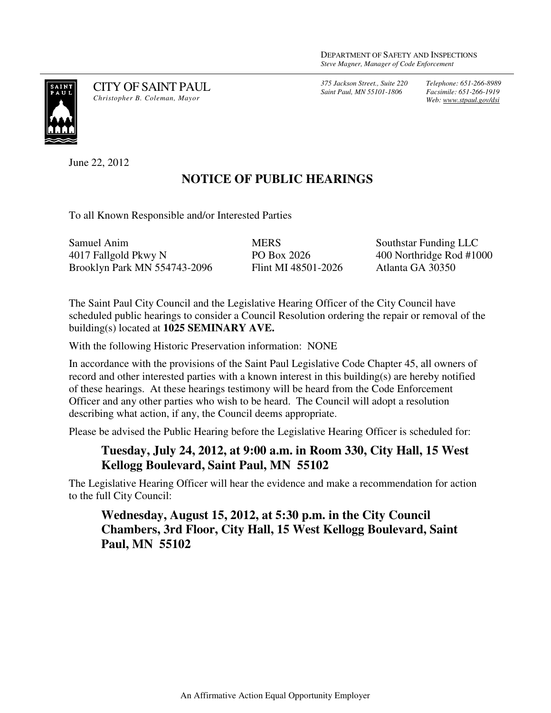*375 Jackson Street., Suite 220 Saint Paul, MN 55101-1806*

*Telephone: 651-266-8989 Facsimile: 651-266-1919 Web: www.stpaul.gov/dsi*



CITY OF SAINT PAUL *Christopher B. Coleman, Mayor* 

June 22, 2012

## **NOTICE OF PUBLIC HEARINGS**

To all Known Responsible and/or Interested Parties

| Samuel Anim                  | <b>MERS</b>         | Southstar Funding LLC    |
|------------------------------|---------------------|--------------------------|
| 4017 Fallgold Pkwy N         | PO Box 2026         | 400 Northridge Rod #1000 |
| Brooklyn Park MN 554743-2096 | Flint MI 48501-2026 | Atlanta GA 30350         |

The Saint Paul City Council and the Legislative Hearing Officer of the City Council have scheduled public hearings to consider a Council Resolution ordering the repair or removal of the building(s) located at **1025 SEMINARY AVE.** 

With the following Historic Preservation information: NONE

In accordance with the provisions of the Saint Paul Legislative Code Chapter 45, all owners of record and other interested parties with a known interest in this building(s) are hereby notified of these hearings. At these hearings testimony will be heard from the Code Enforcement Officer and any other parties who wish to be heard. The Council will adopt a resolution describing what action, if any, the Council deems appropriate.

Please be advised the Public Hearing before the Legislative Hearing Officer is scheduled for:

## **Tuesday, July 24, 2012, at 9:00 a.m. in Room 330, City Hall, 15 West Kellogg Boulevard, Saint Paul, MN 55102**

The Legislative Hearing Officer will hear the evidence and make a recommendation for action to the full City Council:

## **Wednesday, August 15, 2012, at 5:30 p.m. in the City Council Chambers, 3rd Floor, City Hall, 15 West Kellogg Boulevard, Saint Paul, MN 55102**